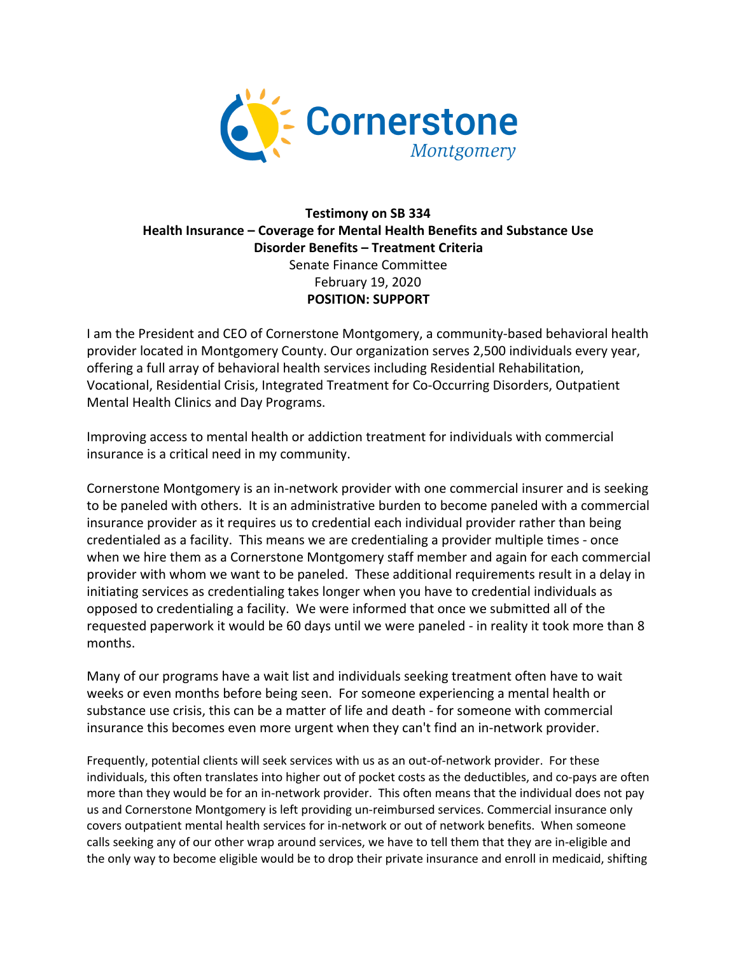

## **Testimony on SB 334 Health Insurance – Coverage for Mental Health Benefits and Substance Use Disorder Benefits – Treatment Criteria** Senate Finance Committee February 19, 2020 **POSITION: SUPPORT**

I am the President and CEO of Cornerstone Montgomery, a community-based behavioral health provider located in Montgomery County. Our organization serves 2,500 individuals every year, offering a full array of behavioral health services including Residential Rehabilitation, Vocational, Residential Crisis, Integrated Treatment for Co-Occurring Disorders, Outpatient Mental Health Clinics and Day Programs.

Improving access to mental health or addiction treatment for individuals with commercial insurance is a critical need in my community.

Cornerstone Montgomery is an in-network provider with one commercial insurer and is seeking to be paneled with others. It is an administrative burden to become paneled with a commercial insurance provider as it requires us to credential each individual provider rather than being credentialed as a facility. This means we are credentialing a provider multiple times - once when we hire them as a Cornerstone Montgomery staff member and again for each commercial provider with whom we want to be paneled. These additional requirements result in a delay in initiating services as credentialing takes longer when you have to credential individuals as opposed to credentialing a facility. We were informed that once we submitted all of the requested paperwork it would be 60 days until we were paneled - in reality it took more than 8 months.

Many of our programs have a wait list and individuals seeking treatment often have to wait weeks or even months before being seen. For someone experiencing a mental health or substance use crisis, this can be a matter of life and death - for someone with commercial insurance this becomes even more urgent when they can't find an in-network provider.

Frequently, potential clients will seek services with us as an out-of-network provider. For these individuals, this often translates into higher out of pocket costs as the deductibles, and co-pays are often more than they would be for an in-network provider. This often means that the individual does not pay us and Cornerstone Montgomery is left providing un-reimbursed services. Commercial insurance only covers outpatient mental health services for in-network or out of network benefits. When someone calls seeking any of our other wrap around services, we have to tell them that they are in-eligible and the only way to become eligible would be to drop their private insurance and enroll in medicaid, shifting